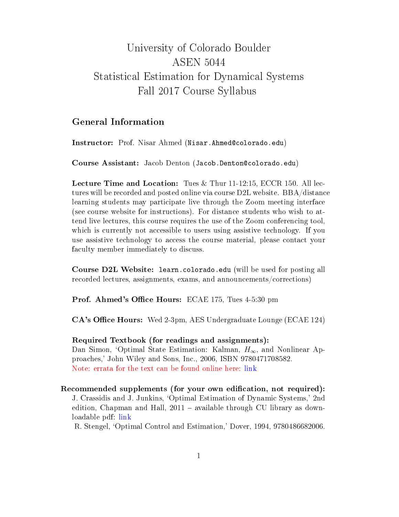## University of Colorado Boulder ASEN 5044 Statistical Estimation for Dynamical Systems Fall 2017 Course Syllabus

## General Information

Instructor: Prof. Nisar Ahmed (Nisar.Ahmed@colorado.edu)

Course Assistant: Jacob Denton (Jacob.Denton@colorado.edu)

Lecture Time and Location: Tues & Thur 11-12:15, ECCR 150. All lectures will be recorded and posted online via course D2L website. BBA/distance learning students may participate live through the Zoom meeting interface (see course website for instructions). For distance students who wish to attend live lectures, this course requires the use of the Zoom conferencing tool, which is currently not accessible to users using assistive technology. If you use assistive technology to access the course material, please contact your faculty member immediately to discuss.

Course D2L Website: learn.colorado.edu (will be used for posting all recorded lectures, assignments, exams, and announcements/corrections)

**Prof. Ahmed's Office Hours:** ECAE 175, Tues 4-5:30 pm

CA's Office Hours: Wed 2-3pm, AES Undergraduate Lounge (ECAE 124)

Required Textbook (for readings and assignments): Dan Simon, 'Optimal State Estimation: Kalman,  $H_{\infty}$ , and Nonlinear Approaches,' John Wiley and Sons, Inc., 2006, ISBN 9780471708582. Note: errata for the text can be found online here: [link](http://academic.csuohio.edu/simond/estimation/errata.pdf)

Recommended supplements (for your own edification, not required): J. Crassidis and J. Junkins, `Optimal Estimation of Dynamic Systems,' 2nd edition, Chapman and Hall,  $2011 -$  available through CU library as downloadable pdf: [link](https://drive.google.com/file/d/0B3xghmB88rs1MlRoUXBvQUJocjg/view?usp=sharing)

R. Stengel, `Optimal Control and Estimation,' Dover, 1994, 9780486682006.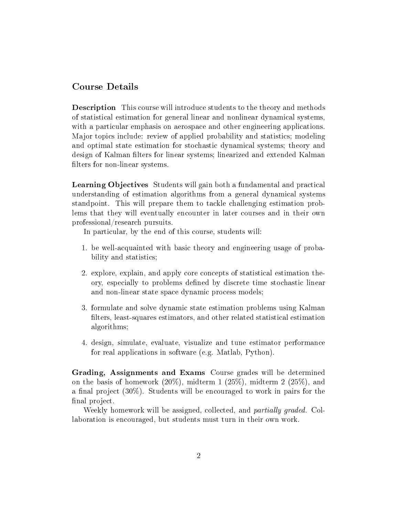## Course Details

Description This course will introduce students to the theory and methods of statistical estimation for general linear and nonlinear dynamical systems, with a particular emphasis on aerospace and other engineering applications. Major topics include: review of applied probability and statistics; modeling and optimal state estimation for stochastic dynamical systems; theory and design of Kalman filters for linear systems; linearized and extended Kalman filters for non-linear systems.

Learning Objectives Students will gain both a fundamental and practical understanding of estimation algorithms from a general dynamical systems standpoint. This will prepare them to tackle challenging estimation problems that they will eventually encounter in later courses and in their own professional/research pursuits.

In particular, by the end of this course, students will:

- 1. be well-acquainted with basic theory and engineering usage of probability and statistics;
- 2. explore, explain, and apply core concepts of statistical estimation theory, especially to problems dened by discrete time stochastic linear and non-linear state space dynamic process models;
- 3. formulate and solve dynamic state estimation problems using Kalman filters, least-squares estimators, and other related statistical estimation algorithms;
- 4. design, simulate, evaluate, visualize and tune estimator performance for real applications in software (e.g. Matlab, Python).

Grading, Assignments and Exams Course grades will be determined on the basis of homework  $(20\%)$ , midterm 1  $(25\%)$ , midterm 2  $(25\%)$ , and a final project  $(30\%)$ . Students will be encouraged to work in pairs for the final project.

Weekly homework will be assigned, collected, and *partially graded*. Collaboration is encouraged, but students must turn in their own work.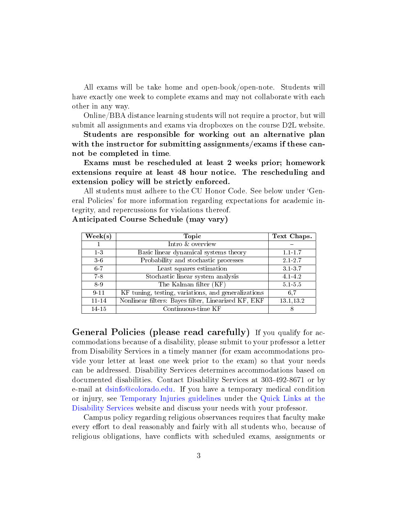All exams will be take home and open-book/open-note. Students will have exactly one week to complete exams and may not collaborate with each other in any way.

Online/BBA distance learning students will not require a proctor, but will submit all assignments and exams via dropboxes on the course D2L website.

Students are responsible for working out an alternative plan with the instructor for submitting assignments/exams if these cannot be completed in time.

Exams must be rescheduled at least 2 weeks prior; homework extensions require at least 48 hour notice. The rescheduling and extension policy will be strictly enforced.

All students must adhere to the CU Honor Code. See below under `General Policies' for more information regarding expectations for academic integrity, and repercussions for violations thereof.

| $\mathrm{Week}(\mathrm{s})$ | Topic                                               | Text Chaps. |
|-----------------------------|-----------------------------------------------------|-------------|
|                             | Intro & overview                                    |             |
| $1-3$                       | Basic linear dynamical systems theory               | $1.1 - 1.7$ |
| 36                          | Probability and stochastic processes                | $2.1 - 2.7$ |
| $6 - 7$                     | Least squares estimation                            | 3137        |
| $7-8$                       | Stochastic linear system analysis                   | 4.1-4.2     |
| 89                          | The Kalman filter (KF)                              | $5.1 - 5.5$ |
| 9-11                        | KF tuning, testing, variations, and generalizations | 6.7         |
| $11 - 14$                   | Nonlinear filters: Bayes filter, Linearized KF, EKF | 13.1,13.2   |
| 14-15                       | Continuous-time KF                                  |             |

Anticipated Course Schedule (may vary)

General Policies (please read carefully) If you qualify for accommodations because of a disability, please submit to your professor a letter from Disability Services in a timely manner (for exam accommodations provide your letter at least one week prior to the exam) so that your needs can be addressed. Disability Services determines accommodations based on documented disabilities. Contact Disability Services at 303-492-8671 or by e-mail at [dsinfo@colorado.edu.](dsinfo@colorado.edu) If you have a temporary medical condition or injury, see [Temporary Injuries guidelines](http://click.communications.cu.edu/?qs=529946df7916528fb2c761bfaf787824049178500b99dab80f10fe80c76848cdfdac334391dfc61c) under the [Quick Links at the](http://click.communications.cu.edu/?qs=529946df7916528f76ea7e7c7e7e580545d48f3238e969bea48176845ae3e6dc6955845e7ac1decf) [Disability Services](http://click.communications.cu.edu/?qs=529946df7916528f76ea7e7c7e7e580545d48f3238e969bea48176845ae3e6dc6955845e7ac1decf) website and discuss your needs with your professor.

Campus policy regarding religious observances requires that faculty make every effort to deal reasonably and fairly with all students who, because of religious obligations, have conflicts with scheduled exams, assignments or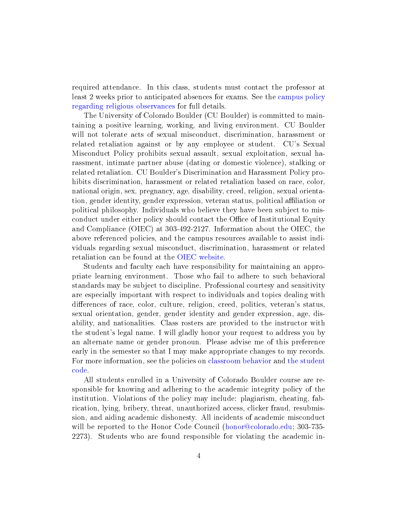required attendance. In this class, students must contact the professor at least 2 weeks prior to anticipated absences for exams. See the [campus policy](http://click.communications.cu.edu/?qs=529946df7916528fa9913fd8d4d27f22b123c701595176280b111aae70ff7d5cc7c7b8c4de97e381) [regarding religious observances](http://click.communications.cu.edu/?qs=529946df7916528fa9913fd8d4d27f22b123c701595176280b111aae70ff7d5cc7c7b8c4de97e381) for full details.

The University of Colorado Boulder (CU Boulder) is committed to maintaining a positive learning, working, and living environment. CU Boulder will not tolerate acts of sexual misconduct, discrimination, harassment or related retaliation against or by any employee or student. CU's Sexual Misconduct Policy prohibits sexual assault, sexual exploitation, sexual harassment, intimate partner abuse (dating or domestic violence), stalking or related retaliation. CU Boulder's Discrimination and Harassment Policy prohibits discrimination, harassment or related retaliation based on race, color, national origin, sex, pregnancy, age, disability, creed, religion, sexual orientation, gender identity, gender expression, veteran status, political affiliation or political philosophy. Individuals who believe they have been subject to misconduct under either policy should contact the Office of Institutional Equity and Compliance (OIEC) at 303-492-2127. Information about the OIEC, the above referenced policies, and the campus resources available to assist individuals regarding sexual misconduct, discrimination, harassment or related retaliation can be found at the [OIEC website.](http://click.communications.cu.edu/?qs=529946df7916528fb825e98de838956bafc89c55547065350bd517a359ccb9f90bb9eca30c7a76a6)

Students and faculty each have responsibility for maintaining an appropriate learning environment. Those who fail to adhere to such behavioral standards may be subject to discipline. Professional courtesy and sensitivity are especially important with respect to individuals and topics dealing with differences of race, color, culture, religion, creed, politics, veteran's status. sexual orientation, gender, gender identity and gender expression, age, disability, and nationalities. Class rosters are provided to the instructor with the student's legal name. I will gladly honor your request to address you by an alternate name or gender pronoun. Please advise me of this preference early in the semester so that I may make appropriate changes to my records. For more information, see the policies on [classroom behavior](http://click.communications.cu.edu/?qs=529946df7916528fb8ec72aa331541b3962203c45a11b6bacad32f67183766b8ed17ff6360a32e79) and [the student](http://click.communications.cu.edu/?qs=529946df7916528f89a1d08dd9d29a41d3a0b75f85593ab4dbc82f1f32c47877cea0a2edd846c2d5) [code.](http://click.communications.cu.edu/?qs=529946df7916528f89a1d08dd9d29a41d3a0b75f85593ab4dbc82f1f32c47877cea0a2edd846c2d5)

All students enrolled in a University of Colorado Boulder course are responsible for knowing and adhering to the academic integrity policy of the institution. Violations of the policy may include: plagiarism, cheating, fabrication, lying, bribery, threat, unauthorized access, clicker fraud, resubmission, and aiding academic dishonesty. All incidents of academic misconduct will be reported to the Honor Code Council [\(honor@colorado.edu;](honor@colorado.edu) 303-735-2273). Students who are found responsible for violating the academic in